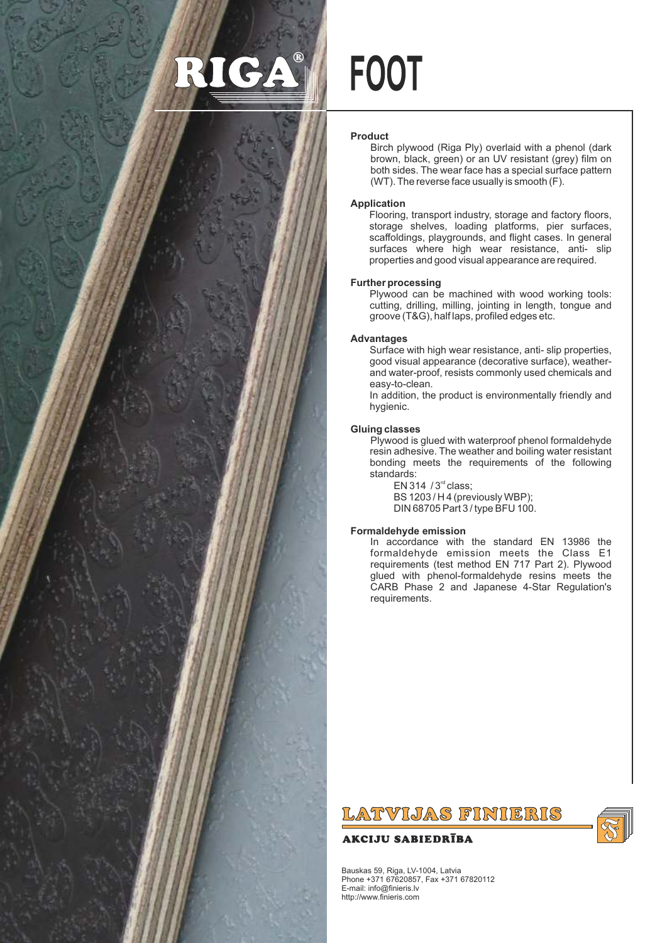

# **FOOT**

# **Product**

Birch plywood (Riga Ply) overlaid with a phenol (dark brown, black, green) or an UV resistant (grey) film on both sides. The wear face has a special surface pattern (WT). The reverse face usually is smooth (F).

# **Application**

Flooring, transport industry, storage and factory floors, storage shelves, loading platforms, pier surfaces, scaffoldings, playgrounds, and flight cases. In general surfaces where high wear resistance, anti- slip properties and good visual appearance are required.

# **Further processing**

Plywood can be machined with wood working tools: cutting, drilling, milling, jointing in length, tongue and groove (T&G), half laps, profiled edges etc.

# **Advantages**

Surface with high wear resistance, anti- slip properties, good visual appearance (decorative surface), weatherand water-proof, resists commonly used chemicals and easy-to-clean.

In addition, the product is environmentally friendly and hygienic.

# **Gluing classes**

Plywood is glued with waterproof phenol formaldehyde resin adhesive. The weather and boiling water resistant bonding meets the requirements of the following standards:

EN 314  $/3<sup>rd</sup>$  class; BS 1203 / H 4 (previously WBP); DIN 68705 Part 3 / type BFU 100.

# **Formaldehyde emission**

In accordance with the standard EN 13986 the formaldehyde emission meets the Class E1 requirements (test method EN 717 Part 2). Plywood glued with phenol-formaldehyde resins meets the CARB Phase 2 and Japanese 4-Star Regulation's requirements.

# LATVIJAS FINIERIS

# **AKCIJU SABIEDRĪBA**



Bauskas 59, Riga, LV-1004, Latvia Phone +371 67620857, Fax +371 67820112 E-mail: info@finieris.lv http://www.finieris.com